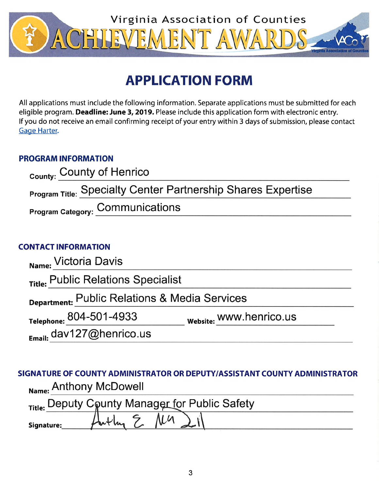

# **APPLICATION FORM**

All applications must include the following information. Separate applications must be submitted for each eligible program. Deadline: June 3, 2019. Please include this application form with electronic entry. If you do not receive an email confirming receipt of your entry within 3 days of submission, please contact Gage Harter.

## **PROGRAM INFORMATION**

| <sub>County:</sub> County of Henrico                                |  |
|---------------------------------------------------------------------|--|
| <b>Program Title: Specialty Center Partnership Shares Expertise</b> |  |
| <b>Program Category: COMMUNICATIONS</b>                             |  |

### **CONTACT INFORMATION**

| Name: Victoria Davis                          |                         |  |
|-----------------------------------------------|-------------------------|--|
| Title: Public Relations Specialist            |                         |  |
| Department: Public Relations & Media Services |                         |  |
| Telephone: 804-501-4933                       | Website: WWW.henrico.us |  |
| $_{Email:}$ dav127@henrico.us                 |                         |  |

## SIGNATURE OF COUNTY ADMINISTRATOR OR DEPUTY/ASSISTANT COUNTY ADMINISTRATOR Name: Anthony McDowell

|            | Title: Deputy County Manager for Public Safety |  |
|------------|------------------------------------------------|--|
| Signature: | m                                              |  |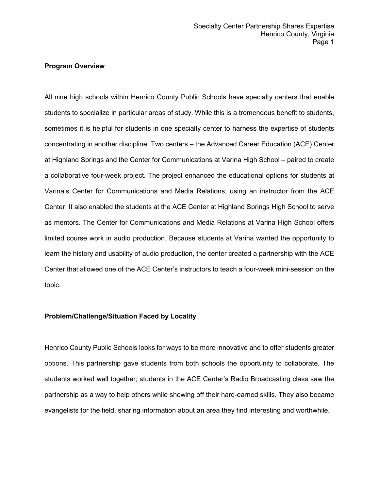#### **Program Overview**

All nine high schools within Henrico County Public Schools have specialty centers that enable students to specialize in particular areas of study. While this is a tremendous benefit to students, sometimes it is helpful for students in one specialty center to harness the expertise of students concentrating in another discipline. Two centers – the Advanced Career Education (ACE) Center at Highland Springs and the Center for Communications at Varina High School – paired to create a collaborative four-week project. The project enhanced the educational options for students at Varina's Center for Communications and Media Relations, using an instructor from the ACE Center. It also enabled the students at the ACE Center at Highland Springs High School to serve as mentors. The Center for Communications and Media Relations at Varina High School offers limited course work in audio production. Because students at Varina wanted the opportunity to learn the history and usability of audio production, the center created a partnership with the ACE Center that allowed one of the ACE Center's instructors to teach a four-week mini-session on the topic.

#### **Problem/Challenge/Situation Faced by Locality**

Henrico County Public Schools looks for ways to be more innovative and to offer students greater options. This partnership gave students from both schools the opportunity to collaborate. The students worked well together; students in the ACE Center's Radio Broadcasting class saw the partnership as a way to help others while showing off their hard-earned skills. They also became evangelists for the field, sharing information about an area they find interesting and worthwhile.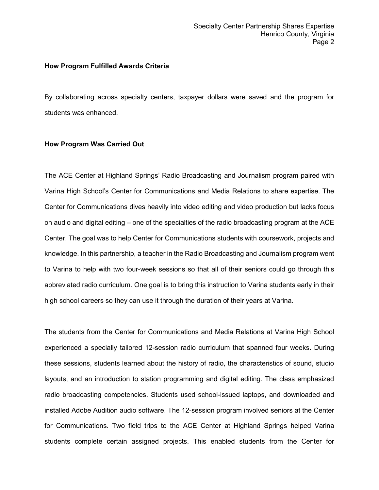#### **How Program Fulfilled Awards Criteria**

By collaborating across specialty centers, taxpayer dollars were saved and the program for students was enhanced.

#### **How Program Was Carried Out**

The ACE Center at Highland Springs' Radio Broadcasting and Journalism program paired with Varina High School's Center for Communications and Media Relations to share expertise. The Center for Communications dives heavily into video editing and video production but lacks focus on audio and digital editing – one of the specialties of the radio broadcasting program at the ACE Center. The goal was to help Center for Communications students with coursework, projects and knowledge. In this partnership, a teacher in the Radio Broadcasting and Journalism program went to Varina to help with two four-week sessions so that all of their seniors could go through this abbreviated radio curriculum. One goal is to bring this instruction to Varina students early in their high school careers so they can use it through the duration of their years at Varina.

The students from the Center for Communications and Media Relations at Varina High School experienced a specially tailored 12-session radio curriculum that spanned four weeks. During these sessions, students learned about the history of radio, the characteristics of sound, studio layouts, and an introduction to station programming and digital editing. The class emphasized radio broadcasting competencies. Students used school-issued laptops, and downloaded and installed Adobe Audition audio software. The 12-session program involved seniors at the Center for Communications. Two field trips to the ACE Center at Highland Springs helped Varina students complete certain assigned projects. This enabled students from the Center for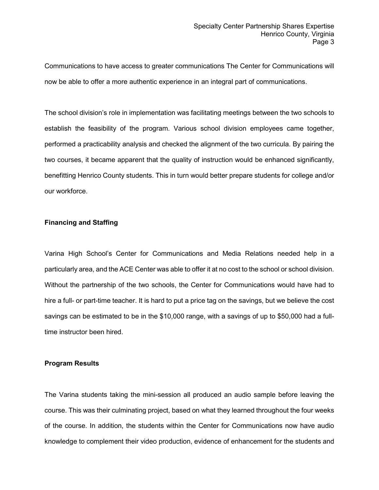Communications to have access to greater communications The Center for Communications will now be able to offer a more authentic experience in an integral part of communications.

The school division's role in implementation was facilitating meetings between the two schools to establish the feasibility of the program. Various school division employees came together, performed a practicability analysis and checked the alignment of the two curricula. By pairing the two courses, it became apparent that the quality of instruction would be enhanced significantly, benefitting Henrico County students. This in turn would better prepare students for college and/or our workforce.

#### **Financing and Staffing**

Varina High School's Center for Communications and Media Relations needed help in a particularly area, and the ACE Center was able to offer it at no cost to the school or school division. Without the partnership of the two schools, the Center for Communications would have had to hire a full- or part-time teacher. It is hard to put a price tag on the savings, but we believe the cost savings can be estimated to be in the \$10,000 range, with a savings of up to \$50,000 had a fulltime instructor been hired.

#### **Program Results**

The Varina students taking the mini-session all produced an audio sample before leaving the course. This was their culminating project, based on what they learned throughout the four weeks of the course. In addition, the students within the Center for Communications now have audio knowledge to complement their video production, evidence of enhancement for the students and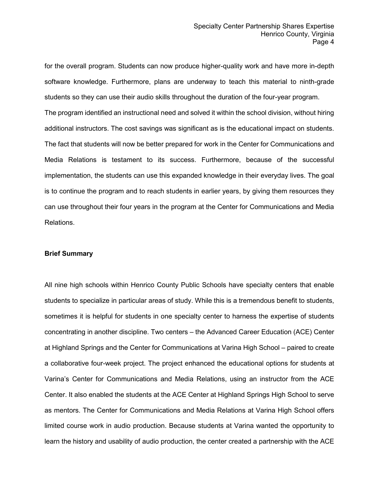for the overall program. Students can now produce higher-quality work and have more in-depth software knowledge. Furthermore, plans are underway to teach this material to ninth-grade students so they can use their audio skills throughout the duration of the four-year program. The program identified an instructional need and solved it within the school division, without hiring additional instructors. The cost savings was significant as is the educational impact on students. The fact that students will now be better prepared for work in the Center for Communications and Media Relations is testament to its success. Furthermore, because of the successful implementation, the students can use this expanded knowledge in their everyday lives. The goal is to continue the program and to reach students in earlier years, by giving them resources they can use throughout their four years in the program at the Center for Communications and Media Relations.

#### **Brief Summary**

All nine high schools within Henrico County Public Schools have specialty centers that enable students to specialize in particular areas of study. While this is a tremendous benefit to students, sometimes it is helpful for students in one specialty center to harness the expertise of students concentrating in another discipline. Two centers – the Advanced Career Education (ACE) Center at Highland Springs and the Center for Communications at Varina High School – paired to create a collaborative four-week project. The project enhanced the educational options for students at Varina's Center for Communications and Media Relations, using an instructor from the ACE Center. It also enabled the students at the ACE Center at Highland Springs High School to serve as mentors. The Center for Communications and Media Relations at Varina High School offers limited course work in audio production. Because students at Varina wanted the opportunity to learn the history and usability of audio production, the center created a partnership with the ACE